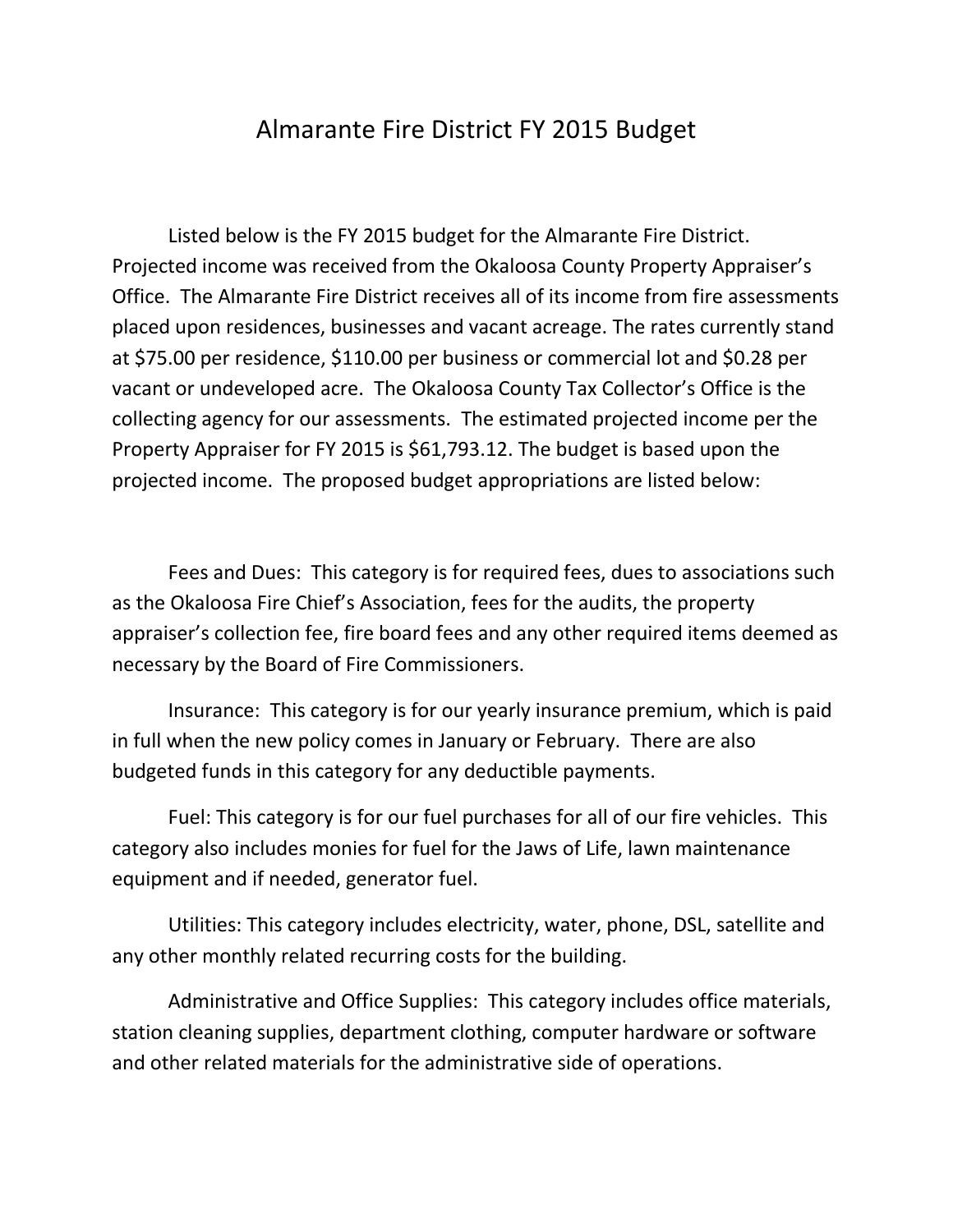## Almarante Fire District FY 2015 Budget

Listed below is the FY 2015 budget for the Almarante Fire District. Projected income was received from the Okaloosa County Property Appraiser's Office. The Almarante Fire District receives all of its income from fire assessments placed upon residences, businesses and vacant acreage. The rates currently stand at \$75.00 per residence, \$110.00 per business or commercial lot and \$0.28 per vacant or undeveloped acre. The Okaloosa County Tax Collector's Office is the collecting agency for our assessments. The estimated projected income per the Property Appraiser for FY 2015 is \$61,793.12. The budget is based upon the projected income. The proposed budget appropriations are listed below:

Fees and Dues: This category is for required fees, dues to associations such as the Okaloosa Fire Chief's Association, fees for the audits, the property appraiser's collection fee, fire board fees and any other required items deemed as necessary by the Board of Fire Commissioners.

Insurance: This category is for our yearly insurance premium, which is paid in full when the new policy comes in January or February. There are also budgeted funds in this category for any deductible payments.

Fuel: This category is for our fuel purchases for all of our fire vehicles. This category also includes monies for fuel for the Jaws of Life, lawn maintenance equipment and if needed, generator fuel.

Utilities: This category includes electricity, water, phone, DSL, satellite and any other monthly related recurring costs for the building.

Administrative and Office Supplies: This category includes office materials, station cleaning supplies, department clothing, computer hardware or software and other related materials for the administrative side of operations.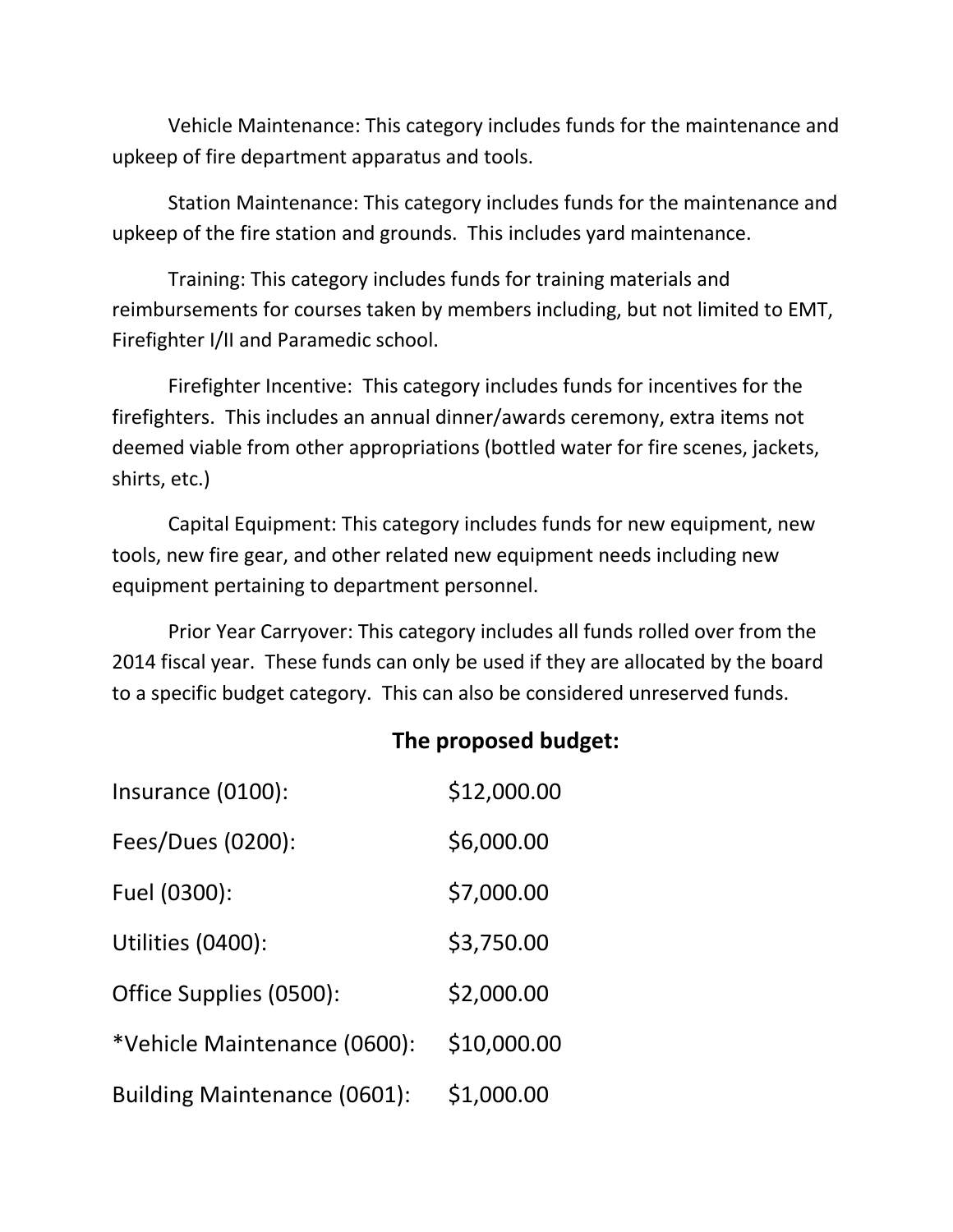Vehicle Maintenance: This category includes funds for the maintenance and upkeep of fire department apparatus and tools.

Station Maintenance: This category includes funds for the maintenance and upkeep of the fire station and grounds. This includes yard maintenance.

Training: This category includes funds for training materials and reimbursements for courses taken by members including, but not limited to EMT, Firefighter I/II and Paramedic school.

Firefighter Incentive: This category includes funds for incentives for the firefighters. This includes an annual dinner/awards ceremony, extra items not deemed viable from other appropriations (bottled water for fire scenes, jackets, shirts, etc.)

Capital Equipment: This category includes funds for new equipment, new tools, new fire gear, and other related new equipment needs including new equipment pertaining to department personnel.

Prior Year Carryover: This category includes all funds rolled over from the 2014 fiscal year. These funds can only be used if they are allocated by the board to a specific budget category. This can also be considered unreserved funds.

## **The proposed budget:**

| Insurance (0100):                   | \$12,000.00 |
|-------------------------------------|-------------|
| Fees/Dues (0200):                   | \$6,000.00  |
| Fuel (0300):                        | \$7,000.00  |
| Utilities (0400):                   | \$3,750.00  |
| Office Supplies (0500):             | \$2,000.00  |
| *Vehicle Maintenance (0600):        | \$10,000.00 |
| <b>Building Maintenance (0601):</b> | \$1,000.00  |